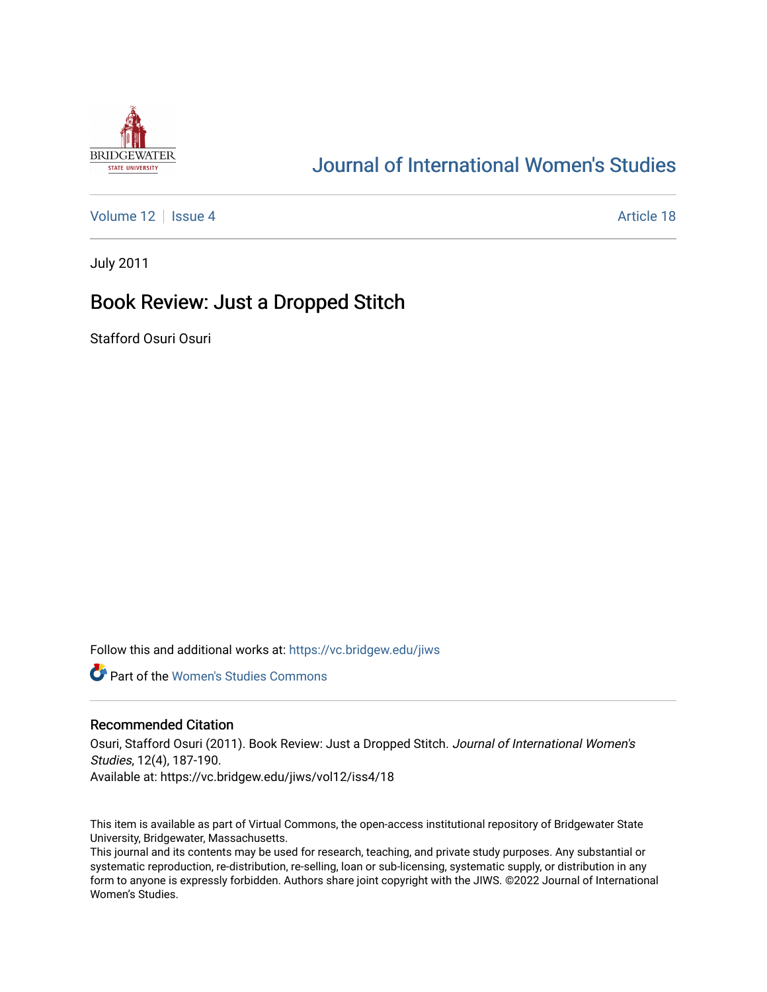

# [Journal of International Women's Studies](https://vc.bridgew.edu/jiws)

[Volume 12](https://vc.bridgew.edu/jiws/vol12) Setup 4 Article 18

July 2011

## Book Review: Just a Dropped Stitch

Stafford Osuri Osuri

Follow this and additional works at: [https://vc.bridgew.edu/jiws](https://vc.bridgew.edu/jiws?utm_source=vc.bridgew.edu%2Fjiws%2Fvol12%2Fiss4%2F18&utm_medium=PDF&utm_campaign=PDFCoverPages)

**C** Part of the Women's Studies Commons

#### Recommended Citation

Osuri, Stafford Osuri (2011). Book Review: Just a Dropped Stitch. Journal of International Women's Studies, 12(4), 187-190. Available at: https://vc.bridgew.edu/jiws/vol12/iss4/18

This item is available as part of Virtual Commons, the open-access institutional repository of Bridgewater State University, Bridgewater, Massachusetts.

This journal and its contents may be used for research, teaching, and private study purposes. Any substantial or systematic reproduction, re-distribution, re-selling, loan or sub-licensing, systematic supply, or distribution in any form to anyone is expressly forbidden. Authors share joint copyright with the JIWS. ©2022 Journal of International Women's Studies.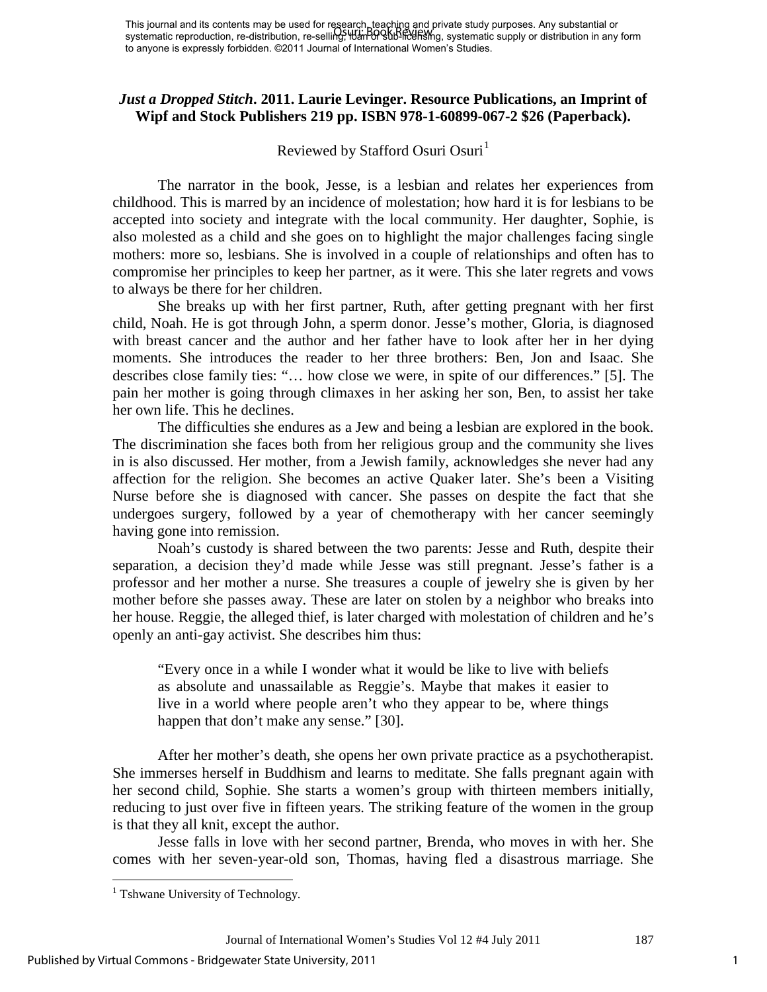## *Just a Dropped Stitch***. 2011. Laurie Levinger. Resource Publications, an Imprint of Wipf and Stock Publishers 219 pp. ISBN 978-1-60899-067-2 \$26 (Paperback).**

### Reviewed by Stafford Osuri Osuri<sup>[1](#page-1-0)</sup>

The narrator in the book, Jesse, is a lesbian and relates her experiences from childhood. This is marred by an incidence of molestation; how hard it is for lesbians to be accepted into society and integrate with the local community. Her daughter, Sophie, is also molested as a child and she goes on to highlight the major challenges facing single mothers: more so, lesbians. She is involved in a couple of relationships and often has to compromise her principles to keep her partner, as it were. This she later regrets and vows to always be there for her children.

She breaks up with her first partner, Ruth, after getting pregnant with her first child, Noah. He is got through John, a sperm donor. Jesse's mother, Gloria, is diagnosed with breast cancer and the author and her father have to look after her in her dying moments. She introduces the reader to her three brothers: Ben, Jon and Isaac. She describes close family ties: "… how close we were, in spite of our differences." [5]. The pain her mother is going through climaxes in her asking her son, Ben, to assist her take her own life. This he declines.

The difficulties she endures as a Jew and being a lesbian are explored in the book. The discrimination she faces both from her religious group and the community she lives in is also discussed. Her mother, from a Jewish family, acknowledges she never had any affection for the religion. She becomes an active Quaker later. She's been a Visiting Nurse before she is diagnosed with cancer. She passes on despite the fact that she undergoes surgery, followed by a year of chemotherapy with her cancer seemingly having gone into remission.

Noah's custody is shared between the two parents: Jesse and Ruth, despite their separation, a decision they'd made while Jesse was still pregnant. Jesse's father is a professor and her mother a nurse. She treasures a couple of jewelry she is given by her mother before she passes away. These are later on stolen by a neighbor who breaks into her house. Reggie, the alleged thief, is later charged with molestation of children and he's openly an anti-gay activist. She describes him thus:

"Every once in a while I wonder what it would be like to live with beliefs as absolute and unassailable as Reggie's. Maybe that makes it easier to live in a world where people aren't who they appear to be, where things happen that don't make any sense." [30].

After her mother's death, she opens her own private practice as a psychotherapist. She immerses herself in Buddhism and learns to meditate. She falls pregnant again with her second child, Sophie. She starts a women's group with thirteen members initially, reducing to just over five in fifteen years. The striking feature of the women in the group is that they all knit, except the author.

Jesse falls in love with her second partner, Brenda, who moves in with her. She comes with her seven-year-old son, Thomas, having fled a disastrous marriage. She

 $\overline{a}$ 

<span id="page-1-0"></span> $<sup>1</sup>$  Tshwane University of Technology.</sup>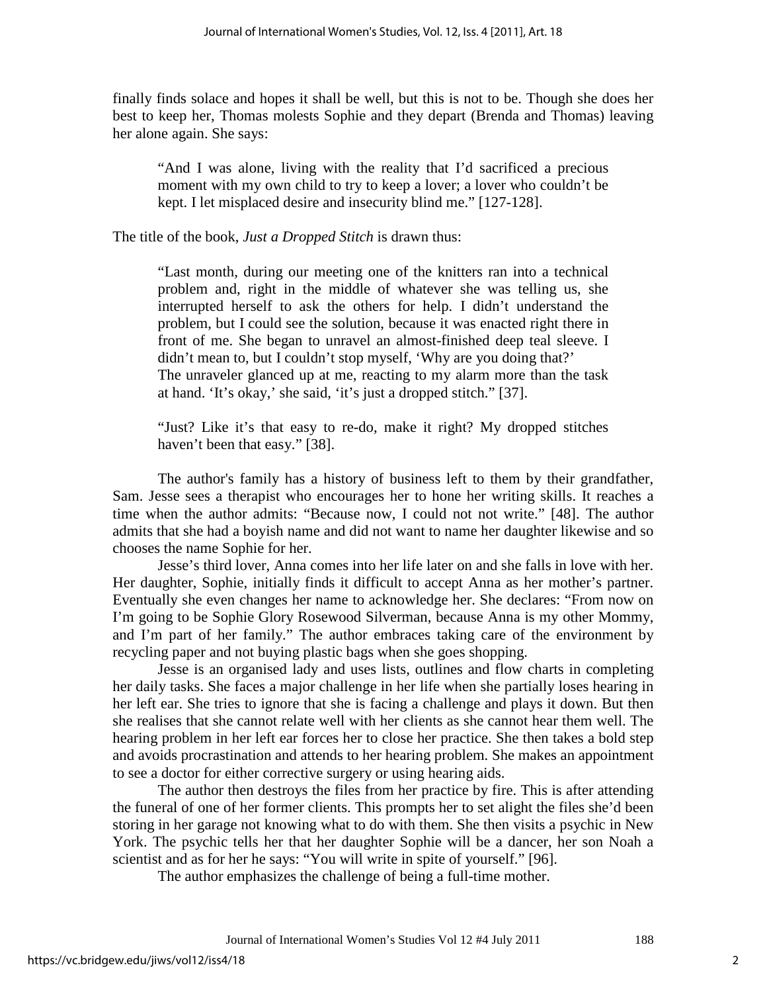finally finds solace and hopes it shall be well, but this is not to be. Though she does her best to keep her, Thomas molests Sophie and they depart (Brenda and Thomas) leaving her alone again. She says:

"And I was alone, living with the reality that I'd sacrificed a precious moment with my own child to try to keep a lover; a lover who couldn't be kept. I let misplaced desire and insecurity blind me." [127-128].

The title of the book, *Just a Dropped Stitch* is drawn thus:

"Last month, during our meeting one of the knitters ran into a technical problem and, right in the middle of whatever she was telling us, she interrupted herself to ask the others for help. I didn't understand the problem, but I could see the solution, because it was enacted right there in front of me. She began to unravel an almost-finished deep teal sleeve. I didn't mean to, but I couldn't stop myself, 'Why are you doing that?' The unraveler glanced up at me, reacting to my alarm more than the task at hand. 'It's okay,' she said, 'it's just a dropped stitch." [37].

"Just? Like it's that easy to re-do, make it right? My dropped stitches haven't been that easy." [38].

The author's family has a history of business left to them by their grandfather, Sam. Jesse sees a therapist who encourages her to hone her writing skills. It reaches a time when the author admits: "Because now, I could not not write." [48]. The author admits that she had a boyish name and did not want to name her daughter likewise and so chooses the name Sophie for her.

Jesse's third lover, Anna comes into her life later on and she falls in love with her. Her daughter, Sophie, initially finds it difficult to accept Anna as her mother's partner. Eventually she even changes her name to acknowledge her. She declares: "From now on I'm going to be Sophie Glory Rosewood Silverman, because Anna is my other Mommy, and I'm part of her family." The author embraces taking care of the environment by recycling paper and not buying plastic bags when she goes shopping.

Jesse is an organised lady and uses lists, outlines and flow charts in completing her daily tasks. She faces a major challenge in her life when she partially loses hearing in her left ear. She tries to ignore that she is facing a challenge and plays it down. But then she realises that she cannot relate well with her clients as she cannot hear them well. The hearing problem in her left ear forces her to close her practice. She then takes a bold step and avoids procrastination and attends to her hearing problem. She makes an appointment to see a doctor for either corrective surgery or using hearing aids.

The author then destroys the files from her practice by fire. This is after attending the funeral of one of her former clients. This prompts her to set alight the files she'd been storing in her garage not knowing what to do with them. She then visits a psychic in New York. The psychic tells her that her daughter Sophie will be a dancer, her son Noah a scientist and as for her he says: "You will write in spite of yourself." [96].

The author emphasizes the challenge of being a full-time mother.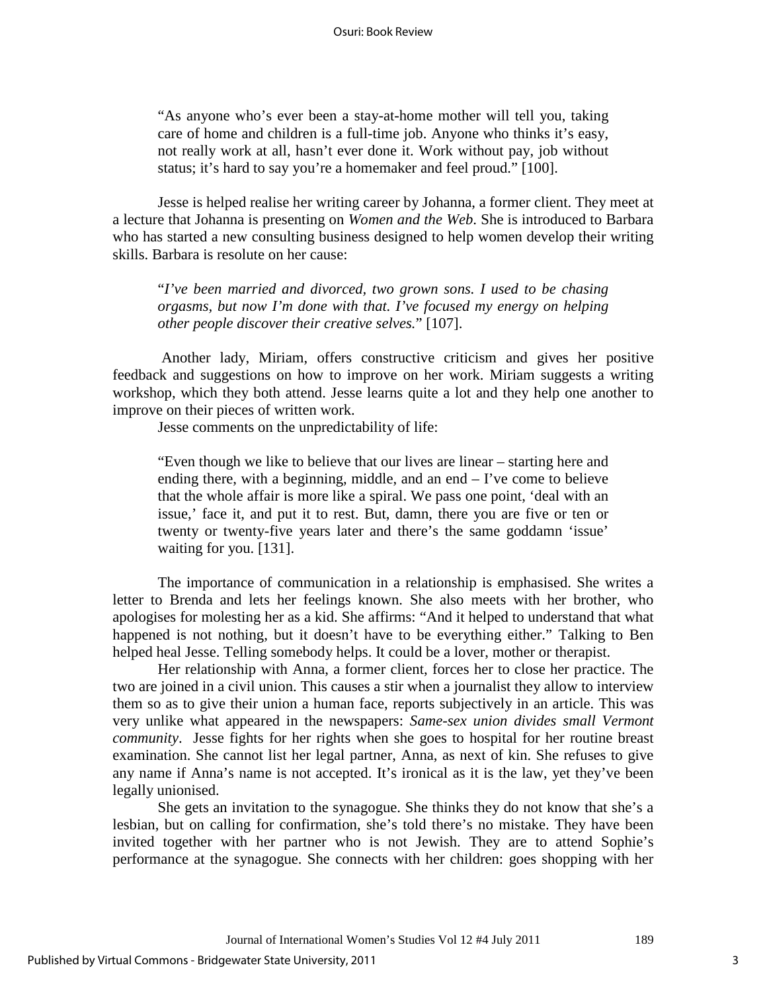"As anyone who's ever been a stay-at-home mother will tell you, taking care of home and children is a full-time job. Anyone who thinks it's easy, not really work at all, hasn't ever done it. Work without pay, job without status; it's hard to say you're a homemaker and feel proud." [100].

Jesse is helped realise her writing career by Johanna, a former client. They meet at a lecture that Johanna is presenting on *Women and the Web*. She is introduced to Barbara who has started a new consulting business designed to help women develop their writing skills. Barbara is resolute on her cause:

"*I've been married and divorced, two grown sons. I used to be chasing orgasms, but now I'm done with that. I've focused my energy on helping other people discover their creative selves.*" [107].

Another lady, Miriam, offers constructive criticism and gives her positive feedback and suggestions on how to improve on her work. Miriam suggests a writing workshop, which they both attend. Jesse learns quite a lot and they help one another to improve on their pieces of written work.

Jesse comments on the unpredictability of life:

"Even though we like to believe that our lives are linear – starting here and ending there, with a beginning, middle, and an end  $-$  I've come to believe that the whole affair is more like a spiral. We pass one point, 'deal with an issue,' face it, and put it to rest. But, damn, there you are five or ten or twenty or twenty-five years later and there's the same goddamn 'issue' waiting for you. [131].

The importance of communication in a relationship is emphasised. She writes a letter to Brenda and lets her feelings known. She also meets with her brother, who apologises for molesting her as a kid. She affirms: "And it helped to understand that what happened is not nothing, but it doesn't have to be everything either." Talking to Ben helped heal Jesse. Telling somebody helps. It could be a lover, mother or therapist.

Her relationship with Anna, a former client, forces her to close her practice. The two are joined in a civil union. This causes a stir when a journalist they allow to interview them so as to give their union a human face, reports subjectively in an article. This was very unlike what appeared in the newspapers: *Same-sex union divides small Vermont community*. Jesse fights for her rights when she goes to hospital for her routine breast examination. She cannot list her legal partner, Anna, as next of kin. She refuses to give any name if Anna's name is not accepted. It's ironical as it is the law, yet they've been legally unionised.

She gets an invitation to the synagogue. She thinks they do not know that she's a lesbian, but on calling for confirmation, she's told there's no mistake. They have been invited together with her partner who is not Jewish. They are to attend Sophie's performance at the synagogue. She connects with her children: goes shopping with her